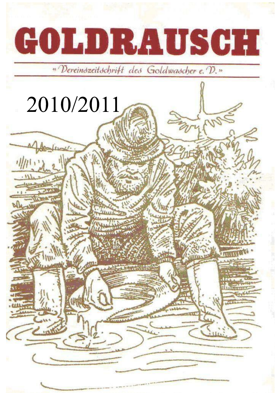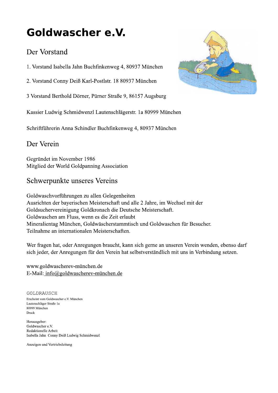# Goldwascher e.V.

## Der Vorstand

1. Vorstand Isabella Jahn Buchfinkenweg 4, 80937 München

2. Vorstand Conny Deiß Karl-Postlstr. 18 80937 München

3 Vorstand Berthold Dörner, Pürner Straße 9, 86157 Augsburg

Kassier Ludwig Schmidwenzl Lautenschlägerstr. 1a 80999 München

Schriftführerin Anna Schindler Buchfinkenweg 4, 80937 München

## Der Verein

Gegründet im November 1986 Mitglied der World Goldpanning Association

## Schwerpunkte unseres Vereins

Goldwaschvorführungen zu allen Gelegenheiten Ausrichten der bayerischen Meisterschaft und alle 2 Jahre, im Wechsel mit der Goldsuchervereinigung Goldkronach die Deutsche Meisterschaft. Goldwaschen am Fluss, wenn es die Zeit erlaubt Mineralientag München, Goldwäscherstammtisch und Goldwaschen für Besucher. Teilnahme an internationalen Meisterschaften.

Wer fragen hat, oder Anregungen braucht, kann sich gerne an unseren Verein wenden, ebenso darf sich jeder, der Anregungen für den Verein hat selbstverständlich mit uns in Verbindung setzen.

www.goldwascherev-münchen.de E-Mail: info@goldwascherev-münchen.de

GOLDRAUSCH Erscheint vom Goldwascher e.V. München Lautenschläger Straße 1a 80999 München Druck

Herausgeber: Goldwascher e.V. Redaktionelle Arbeit Isabella Jahn Conny Deiß Ludwig Schmidwenzl

Anzeigen und Vertriebsleitung

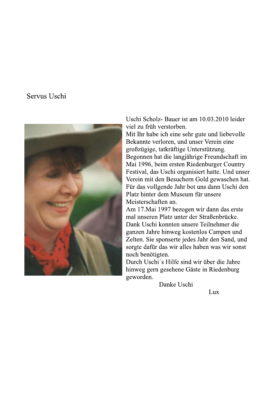### Servus Uschi



Uschi Scholz-Bauer ist am 10.03.2010 leider viel zu früh verstorben.

Mit Ihr habe ich eine sehr gute und liebevolle Bekannte verloren, und unser Verein eine großzügige, tatkräftige Unterstützung. Begonnen hat die langjährige Freundschaft im Mai 1996, beim ersten Riedenburger Country Festival, das Uschi organisiert hatte. Und unser Verein mit den Besuchern Gold gewaschen hat. Für das vollgende Jahr bot uns dann Uschi den Platz hinter dem Museum für unsere Meisterschaften an.

Am 17. Mai 1997 bezogen wir dann das erste mal unseren Platz unter der Straßenbrücke. Dank Uschi konnten unsere Teilnehmer die ganzen Jahre hinweg kostenlos Campen und Zelten. Sie sponserte jedes Jahr den Sand, und sorgte dafür das wir alles haben was wir sonst noch benötigten.

Durch Uschi's Hilfe sind wir über die Jahre hinweg gern gesehene Gäste in Riedenburg geworden.

Danke Uschi

Lux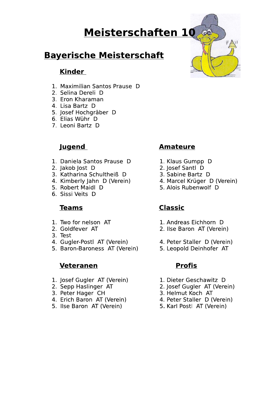# **Meisterschaften 10**

## **Bayerische Meisterschaft**

#### Kinder

- 1. Maximilian Santos Prause D
- 2. Selina Dereli D
- 3. Eron Kharaman
- 4. Lisa Bartz D
- 5. Josef Hochgräber D<br>6. Elias Wühr D
- 
- 7. Leoni Bartz D

## <u>Jugend</u>

- 1. Daniela Santos Prause D
- 2. Jakob Jost D
- 3. Katharina Schultheiß D
- 4. Kimberly Jahn D (Verein)
- 5. Robert Maidl D
- 6. Sissi Veits D

#### **Teams**

- 1. Two for nelson AT
- 2. Goldfever AT
- 3. Test
- 4. Gugler-Postl AT (Verein)
- 5. Baron-Baroness AT (Verein)

#### **Veteranen**

- 1. Josef Gugler AT (Verein)
- 2. Sepp Haslinger AT
- 3. Peter Hager CH
- 4. Erich Baron AT (Verein)
- 5. Ilse Baron AT (Verein)

## **Amateure**

- 1. Klaus Gumpp D<br>2. Josef Santl D
- 
- 3. Sabine Bartz D
- 4. Marcel Krüger D (Verein)
- 5. Alois Rubenwolf D

## **Classic**

- 1. Andreas Eichhorn D
- 2. Ilse Baron AT (Verein)
- 4. Peter Staller D (Verein)
- 5. Leopold Deinhofer AT

#### **Profis**

- 1. Dieter Geschawitz D
- 2. Josef Gugler AT (Verein)
- 3. Helmut Koch AT
- 4. Peter Staller D (Verein)
- 5. Karl Postl AT (Verein)

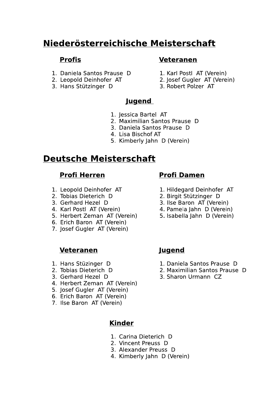## Niederösterreichische Meisterschaft

#### **Profis**

- 1. Daniela Santos Prause D
- 2. Leopold Deinhofer AT
- 3. Hans Stützinger D

#### **Veteranen**

- 1. Karl Postl AT (Verein)
- 2. Josef Gugler AT (Verein)
- 3. Robert Polzer AT

## Jugend

- 1. Jessica Bartel AT
- 2. Maximilian Santos Prause D
- 3. Daniela Santos Prause D
- 4. Lisa Bischof AT
- 5. Kimberly Jahn D (Verein)

## **Deutsche Meisterschaft**

## **Profi Herren**

- 1. Leopold Deinhofer AT
- 2. Tobias Dieterich D
- 3. Gerhard Hezel D
- 4. Karl Postl AT (Verein)
- 5. Herbert Zeman AT (Verein)
- 6. Erich Baron AT (Verein)
- 7. Josef Gugler AT (Verein)

#### **Veteranen**

- 1. Hans Stüzinger D
- 2. Tobias Dieterich D
- 3. Gerhard Hezel D
- 4. Herbert Zeman AT (Verein)
- 5. Josef Gugler AT (Verein)
- 6. Erich Baron AT (Verein)
- 7. Ilse Baron AT (Verein)

#### **Kinder**

- 1. Carina Dieterich D
- 2. Vincent Preuss D
- 3. Alexander Preuss D
- 4. Kimberly Jahn D (Verein)

#### **Profi Damen**

- 1. Hildegard Deinhofer AT
- 2. Birgit Stützinger D
- 3. Ilse Baron AT (Verein)
- 4. Pamela Jahn D (Verein)
- 5. Isabella Jahn D (Verein)

## Jugend

- 1. Daniela Santos Prause D
- 2. Maximilian Santos Prause D
- 3. Sharon Urmann CZ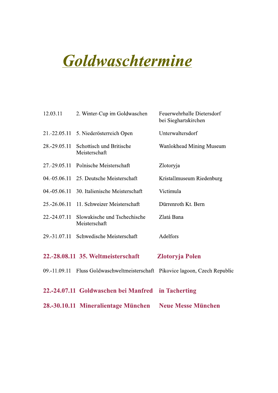# Goldwaschtermine

| 12.03.11     | 2. Winter-Cup im Goldwaschen                                                  | Feuerwehrhalle Dietersdorf<br>bei Sieghartskirchen |
|--------------|-------------------------------------------------------------------------------|----------------------------------------------------|
| 21.-22.05.11 | 5. Niederösterreich Open                                                      | Unterwaltersdorf                                   |
| 28.-29.05.11 | Schottisch und Britische<br>Meisterschaft                                     | Wanlokhead Mining Museum                           |
| 27.-29.05.11 | Polnische Meisterschaft                                                       | Zlotoryja                                          |
|              | 04.-05.06.11 25. Deutsche Meisterschaft                                       | Kristallmuseum Riedenburg                          |
| 04.-05.06.11 | 30. Italienische Meisterschaft                                                | Victimula                                          |
| 25.-26.06.11 | 11. Schweizer Meisterschaft                                                   | Dürrenroth Kt. Bern                                |
| 22.-24.07.11 | Slowakische und Tschechische<br>Meisterschaft                                 | Zlatá Bana                                         |
| 29.-31.07.11 | Schwedische Meisterschaft                                                     | Adelfors                                           |
|              | 22.-28.08.11 35. Weltmeisterschaft                                            | <b>Zlotoryja Polen</b>                             |
|              | 09.-11.09.11 Fluss Goldwaschweltmeisterschaft Pikovice lagoon, Czech Republic |                                                    |
|              | 22.-24.07.11 Goldwaschen bei Manfred in Tacherting                            |                                                    |
|              | 28.-30.10.11 Mineralientage München                                           | <b>Neue Messe München</b>                          |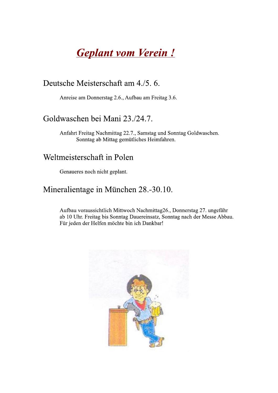# **Geplant vom Verein!**

## Deutsche Meisterschaft am 4./5.6.

Anreise am Donnerstag 2.6., Aufbau am Freitag 3.6.

## Goldwaschen bei Mani 23./24.7.

Anfahrt Freitag Nachmittag 22.7., Samstag und Sonntag Goldwaschen. Sonntag ab Mittag gemütliches Heimfahren.

## Weltmeisterschaft in Polen

Genaueres noch nicht geplant.

## Mineralientage in München 28.-30.10.

Aufbau voraussichtlich Mittwoch Nachmittag26., Donnerstag 27. ungefähr ab 10 Uhr. Freitag bis Sonntag Dauereinsatz, Sonntag nach der Messe Abbau. Für jeden der Helfen möchte bin ich Dankbar!

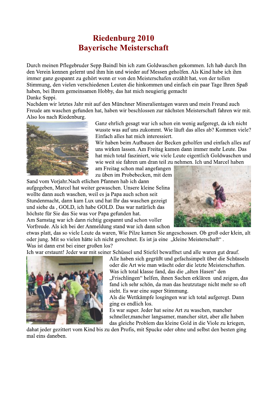## **Riedenburg 2010 Baverische Meisterschaft**

Durch meinen Pflegebruder Sepp Baindl bin ich zum Goldwaschen gekommen. Ich hab durch Ihn den Verein kennen gelernt und ihm hin und wieder auf Messen geholfen. Als Kind habe ich ihm immer ganz gespannt zu gehört wenn er von den Meisterschafen erzählt hat, von der tollen Stimmung, den vielen verschiedenen Leuten die hinkommen und einfach ein paar Tage Ihren Spaß haben, bei Ihrem gemeinsamen Hobby, das hat mich neugierig gemacht Danke Seppi.

Nachdem wir letztes Jahr mit auf den Münchner Mineralientagen waren und mein Freund auch Freude am waschen gefunden hat, haben wir beschlossen zur nächsten Meisterschaft fahren wir mit. Also los nach Riedenburg.



Ganz ehrlich gesagt war ich schon ein wenig aufgeregt, da ich nicht wusste was auf uns zukommt. Wie läuft das alles ab? Kommen viele? Einfach alles hat mich interessiert.

Wir haben beim Aufbauen der Becken geholfen und einfach alles auf uns wirken lassen. Am Freitag kamen dann immer mehr Leute. Das hat mich total fasziniert, wie viele Leute eigentlich Goldwaschen und wie weit sie fahren um dran teil zu nehmen. Ich und Marcel haben

am Freitag schon mal angefangen zu üben im Probebecken, mit dem

Sand vom Vorjahr. Nach etlichen Pfannen hab ich dann aufgegeben, Marcel hat weiter gewaschen. Unsere kleine Selina wollte dann auch waschen, weil es ja Papa auch schon seit Stundenmacht, dann kam Lux und hat Ihr das waschen gezeigt und siehe da , GOLD, ich habe GOLD. Das war natürlich das höchste für Sie das Sie was vor Papa gefunden hat.

Am Samstag war ich dann richtig gespannt und schon voller Vorfreude. Als ich bei der Anmeldung stand war ich dann schon



etwas platt, das so viele Leute da waren. Wie Pilze kamen Sie angeschossen. Ob groß oder klein, alt oder jung. Mit so vielen hätte ich nicht gerechnet. Es ist ja eine "kleine Meisterschaft". Was ist dann erst bei einer großen los?

Ich war erstaunt! Jeder war mit seiner Schüssel und Stiefel bewaffnet und alle waren gut drauf.



Alle haben sich gegrüßt und gefachsimpelt über die Schüsseln oder die Art wie man wäscht oder die letzte Meisterschaften. Was ich total klasse fand, das die "alten Hasen" den "Frischlingen" helfen, ihnen Sachen erklären und zeigen, das fand ich sehr schön, da man das heutzutage nicht mehr so oft sieht. Es war eine super Stimmung.

Als die Wettkämpfe losgingen war ich total aufgeregt. Dann ging es endlich los.

Es war super. Jeder hat seine Art zu waschen, mancher schneller, mancher langsamer, mancher sitzt, aber alle haben das gleiche Problem das kleine Gold in die Viole zu kriegen,

dahat jeder gezittert vom Kind bis zu den Profis, mit Spucke oder ohne und selbst den besten ging mal eins daneben.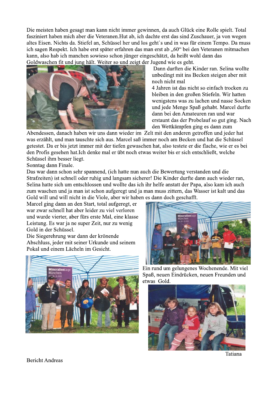Die meisten haben gesagt man kann nicht immer gewinnen, da auch Glück eine Rolle spielt. Total fasziniert haben mich aber die Veteranen. Hut ab, ich dachte erst das sind Zuschauer, ja von wegen altes Eisen. Nichts da. Stiefel an, Schüssel her und los geht's und in was für einem Tempo. Da muss ich sagen Respekt. Ich habe erst später erfahren das man erst ab "60" bei den Veteranen mitmachen kann, also hab ich manchen sowieso schon jünger eingeschätzt, da heißt wohl dann das Goldwaschen fit und jung hält. Weiter so und zeigt der Jugend wie es geht.



Dann durften die Kinder ran. Selina wollte unbedingt mit ins Becken steigen aber mit noch nicht mal

4 Jahren ist das nicht so einfach trocken zu bleiben in den großen Stiefeln. Wir hatten wenigstens was zu lachen und nasse Socken und jede Menge Spaß gehabt. Marcel durfte dann bei den Amateuren ran und war erstaunt das der Probelauf so gut ging. Nach den Wettkämpfen ging es dann zum

Abendessen, danach haben wir uns dann wieder im Zelt mit den anderen getroffen und jeder hat was erzählt, und man tauschte sich aus. Marcel saß immer noch am Becken und hat die Schüssel getestet. Da er bis jetzt immer mit der tiefen gewaschen hat, also testete er die flache, wie er es bei den Profis gesehen hat. Ich denke mal er übt noch etwas weiter bis er sich entschließt, welche Schüssel ihm besser liegt.

Sonntag dann Finale.

Das war dann schon sehr spannend, (ich hatte nun auch die Bewertung verstanden und die Strafzeiten) ist schnell oder ruhig und langsam sicherer! Die Kinder durfte dann auch wieder ran, Selina hatte sich um entschlossen und wollte das ich ihr helfe anstatt der Papa, also kam ich auch zum waschen und ja man ist schon aufgeregt und ja man muss zittern, das Wasser ist kalt und das Gold will und will nicht in die Viole, aber wir haben es dann doch geschafft.

Marcel ging dann an den Start, total aufgeregt, er war zwar schnell hat aber leider zu viel verloren und wurde vierter, aber fürs erste Mal, eine klasse Leistung. Es war ja ne super Zeit, nur zu wenig Gold in der Schüssel.

Die Siegerehrung war dann der krönende Abschluss, jeder mit seiner Urkunde und seinem Pokal und einem Lächeln im Gesicht.





Ein rund um gelungenes Wochenende. Mit viel Spaß, neuen Eindrücken, neuen Freunden und etwas Gold.



Tatiana

**Bericht Andreas**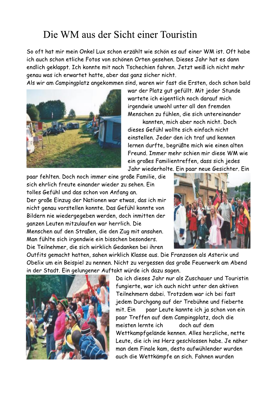## Die WM aus der Sicht einer Touristin

So oft hat mir mein Onkel Lux schon erzählt wie schön es auf einer WM ist. Oft habe ich auch schon etliche Fotos von schönen Orten gesehen. Dieses Jahr hat es dann endlich geklappt. Ich konnte mit nach Tschechien fahren. Jetzt weiß ich nicht mehr genau was ich erwartet hatte, aber das ganz sicher nicht.

Als wir am Campingplatz angekommen sind, waren wir fast die Ersten, doch schon bald



war der Platz gut gefüllt. Mit jeder Stunde wartete ich eigentlich noch darauf mich irgendwie unwohl unter all den fremden Menschen zu fühlen, die sich untereinander kannten, mich aber noch nicht. Doch

dieses Gefühl wollte sich einfach nicht einstellen. Jeder den ich traf und kennen lernen durfte, begrüßte mich wie einen alten Freund. Immer mehr schien mir diese WM wie ein großes Familientreffen, dass sich jedes Jahr wiederholte. Ein paar neue Gesichter. Ein

paar fehlten. Doch noch immer eine große Familie, die sich ehrlich freute einander wieder zu sehen. Ein tolles Gefühl und das schon von Anfang an.

Der große Einzug der Nationen war etwas, das ich mir nicht genau vorstellen konnte. Das Gefühl konnte von Bildern nie wiedergegeben werden, doch inmitten der ganzen Leuten mitzulaufen war herrlich. Die Menschen auf den Straßen, die den Zug mit ansahen. Man fühlte sich irgendwie ein bisschen besonders. Die Teilnehmer, die sich wirklich Gedanken bei ihren



Outfits gemacht hatten, sahen wirklich Klasse aus. Die Franzosen als Asterix und Obelix um ein Beispiel zu nennen. Nicht zu vergessen das große Feuerwerk am Abend in der Stadt. Ein gelungener Auftakt würde ich dazu sagen.



Da ich dieses Jahr nur als Zuschauer und Touristin fungierte, war ich auch nicht unter den aktiven Teilnehmern dabei. Trotzdem war ich bei fast jedem Durchgang auf der Trebühne und fieberte paar Leute kannte ich ja schon von ein mit. Ein paar Treffen auf dem Campingplatz, doch die meisten lernte ich doch auf dem Wettkampfgelände kennen. Alles herzliche, nette Leute, die ich ins Herz geschlossen habe. Je näher man dem Finale kam, desto aufwühlender wurden auch die Wettkämpfe an sich. Fahnen wurden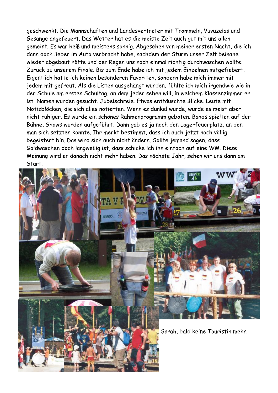geschwenkt. Die Mannschaften und Landesvertreter mit Trommeln, Vuvuzelas und Gesänge angefeuert. Das Wetter hat es die meiste Zeit auch gut mit uns allen gemeint. Es war heiß und meistens sonnig. Abgesehen von meiner ersten Nacht, die ich dann doch lieber im Auto verbracht habe, nachdem der Sturm unser Zelt beinahe wieder abgebaut hätte und der Regen uns noch einmal richtig durchwaschen wollte. Zurück zu unserem Finale. Bis zum Ende habe ich mit jedem Einzelnen mitgefiebert. Eigentlich hatte ich keinen besonderen Favoriten, sondern habe mich immer mit jedem mit gefreut. Als die Listen ausgehängt wurden, fühlte ich mich irgendwie wie in der Schule am ersten Schultag, an dem jeder sehen will, in welchem Klassenzimmer er ist. Namen wurden gesucht. Jubelschreie. Etwas enttäuschte Blicke. Leute mit Notizblöcken, die sich alles notierten. Wenn es dunkel wurde, wurde es meist aber nicht ruhiger. Es wurde ein schönes Rahmenprogramm geboten. Bands spielten auf der Bühne, Shows wurden aufgeführt. Dann gab es ja noch den Lagerfeuerplatz, an den man sich setzten konnte. Ihr merkt bestimmt, dass ich auch jetzt noch völlig begeistert bin. Das wird sich auch nicht ändern. Sollte jemand sagen, dass Goldwaschen doch langweilig ist, dass schicke ich ihn einfach auf eine WM. Diese Meinung wird er danach nicht mehr haben. Das nächste Jahr, sehen wir uns dann am Start.